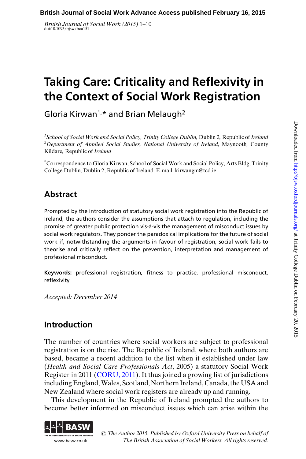British Journal of Social Work (2015) 1-10<br>doi:10.1093/bjsw/bcu151

# Taking Care: Criticality and Reflexivity in the Context of Social Work Registration

Gloria Kirwan<sup>1,\*</sup> and Brian Melaugh<sup>2</sup>

<sup>1</sup>School of Social Work and Social Policy, Trinity College Dublin, Dublin 2, Republic of Ireland 'School of Social Work and Social Policy, Trinity College Dublin, Dublin 2, Republic of Ireland<br><sup>2</sup>Department of Applied Social Studies, National University of Ireland, Maynooth, County Kildare, Republic of Ireland

\* Correspondence to Gloria Kirwan, School of Social Work and Social Policy, Arts Bldg, Trinity College Dublin, Dublin 2, Republic of Ireland. E-mail: kirwangm@tcd.ie

# Abstract

Prompted by the introduction of statutory social work registration into the Republic of Ireland, the authors consider the assumptions that attach to regulation, including the promise of greater public protection vis-a`-vis the management of misconduct issues by social work regulators. They ponder the paradoxical implications for the future of social work if, notwithstanding the arguments in favour of registration, social work fails to theorise and critically reflect on the prevention, interpretation and management of professional misconduct.

Keywords: professional registration, fitness to practise, professional misconduct, reflexivity

Accepted: December 2014

## Introduction

The number of countries where social workers are subject to professional registration is on the rise. The Republic of Ireland, where both authors are based, became a recent addition to the list when it established under law (Health and Social Care Professionals Act, 2005) a statutory Social Work Register in 2011 ([CORU, 2011](#page-8-0)). It thus joined a growing list of jurisdictions including England,Wales, Scotland, Northern Ireland, Canada, the USA and New Zealand where social work registers are already up and running.

This development in the Republic of Ireland prompted the authors to become better informed on misconduct issues which can arise within the



 $\odot$  The Author 2015. Published by Oxford University Press on behalf of The British Association of Social Workers. All rights reserved.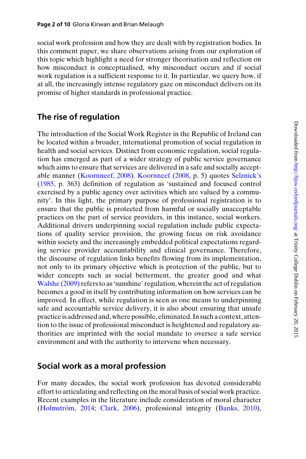social work profession and how they are dealt with by registration bodies. In this comment paper, we share observations arising from our exploration of this topic which highlight a need for stronger theorisation and reflection on how misconduct is conceptualised, why misconduct occurs and if social work regulation is a sufficient response to it. In particular, we query how, if at all, the increasingly intense regulatory gaze on misconduct delivers on its promise of higher standards in professional practice.

## The rise of regulation

The introduction of the Social Work Register in the Republic of Ireland can be located within a broader, international promotion of social regulation in health and social services. Distinct from economic regulation, social regulation has emerged as part of a wider strategy of public service governance which aims to ensure that services are delivered in a safe and socially acceptable manner [\(Koornneef, 2008](#page-8-0)). [Koornneef \(2008](#page-8-0), p. 5) quotes [Selznick's](#page-9-0) [\(1985,](#page-9-0) p. 363) definition of regulation as 'sustained and focused control exercised by a public agency over activities which are valued by a community'. In this light, the primary purpose of professional registration is to ensure that the public is protected from harmful or socially unacceptable practices on the part of service providers, in this instance, social workers. Additional drivers underpinning social regulation include public expectations of quality service provision, the growing focus on risk avoidance within society and the increasingly embedded political expectations regarding service provider accountability and clinical governance. Therefore, the discourse of regulation links benefits flowing from its implementation, not only to its primary objective which is protection of the public, but to wider concepts such as social betterment, the greater good and what [Walshe \(2009\)](#page-9-0) refers to as 'sunshine' regulation, wherein the act of regulation becomes a good in itself by contributing information on how services can be improved. In effect, while regulation is seen as one means to underpinning safe and accountable service delivery, it is also about ensuring that unsafe practiceis addressed and, where possible, eliminated. In such a context, attention to the issue of professional misconduct is heightened and regulatory authorities are imprinted with the social mandate to oversee a safe service environment and with the authority to intervene when necessary.

#### Social work as a moral profession

For many decades, the social work profession has devoted considerable effort to articulating and reflecting on the moral basis of social work practice. Recent examples in the literature include consideration of moral character (Holmström, 2014; [Clark, 2006](#page-8-0)), professional integrity ([Banks, 2010\)](#page-8-0),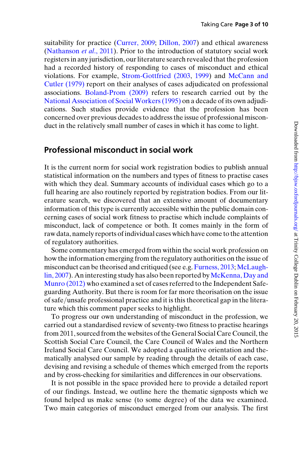suitability for practice ([Currer, 2009](#page-8-0); [Dillon, 2007](#page-8-0)) and ethical awareness ([Nathanson](#page-9-0) et al., 2011). Prior to the introduction of statutory social work registers in any jurisdiction, our literature search revealed that the profession had a recorded history of responding to cases of misconduct and ethical violations. For example, [Strom-Gottfried \(2003](#page-9-0), [1999](#page-9-0)) and [McCann and](#page-8-0) [Cutler \(1979\)](#page-8-0) report on their analyses of cases adjudicated on professional associations. [Boland-Prom \(2009\)](#page-8-0) refers to research carried out by the [National Association of Social Workers \(1995\)](#page-9-0) on a decade of its own adjudications. Such studies provide evidence that the profession has been concerned over previous decades to address the issue of professional misconduct in the relatively small number of cases in which it has come to light.

#### Professional misconduct in social work

It is the current norm for social work registration bodies to publish annual statistical information on the numbers and types of fitness to practise cases with which they deal. Summary accounts of individual cases which go to a full hearing are also routinely reported by registration bodies. From our literature search, we discovered that an extensive amount of documentary information of this type is currently accessible within the public domain concerning cases of social work fitness to practise which include complaints of misconduct, lack of competence or both. It comes mainly in the form of raw data, namely reports of individual cases which have come to the attention of regulatory authorities.

Some commentary has emerged from within the social work profession on how the information emerging from the regulatory authorities on the issue of misconduct can be theorised and critiqued (see e.g. [Furness, 2013;](#page-8-0) [McLaugh](#page-8-0)[lin, 2007](#page-8-0)). An interesting study has also been reported by [McKenna, Day and](#page-8-0) [Munro \(2012\)](#page-8-0) who examined a set of cases referred to the Independent Safeguarding Authority. But there is room for far more theorisation on the issue of safe/unsafe professional practice and it is this theoretical gap in the literature which this comment paper seeks to highlight.

To progress our own understanding of misconduct in the profession, we carried out a standardised review of seventy-two fitness to practise hearings from 2011, sourced from the websites of the General Social Care Council, the Scottish Social Care Council, the Care Council of Wales and the Northern Ireland Social Care Council. We adopted a qualitative orientation and thematically analysed our sample by reading through the details of each case, devising and revising a schedule of themes which emerged from the reports and by cross-checking for similarities and differences in our observations.

It is not possible in the space provided here to provide a detailed report of our findings. Instead, we outline here the thematic signposts which we found helped us make sense (to some degree) of the data we examined. Two main categories of misconduct emerged from our analysis. The first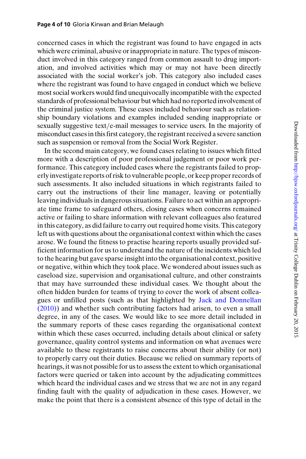concerned cases in which the registrant was found to have engaged in acts which were criminal, abusive or inappropriate in nature. The types of misconduct involved in this category ranged from common assault to drug importation, and involved activities which may or may not have been directly associated with the social worker's job. This category also included cases where the registrant was found to have engaged in conduct which we believe most social workers would find unequivocally incompatible with the expected standards of professional behaviour but which had no reported involvement of the criminal justice system. These cases included behaviour such as relationship boundary violations and examples included sending inappropriate or sexually suggestive text/e-mail messages to service users. In the majority of misconduct cases in this first category, the registrant received a severe sanction such as suspension or removal from the Social Work Register.

In the second main category, we found cases relating to issues which fitted more with a description of poor professional judgement or poor work performance. This category included cases where the registrants failed to properly investigate reports of risk to vulnerable people, or keep proper records of such assessments. It also included situations in which registrants failed to carry out the instructions of their line manager, leaving or potentially leaving individuals in dangerous situations. Failure to act within an appropriate time frame to safeguard others, closing cases when concerns remained active or failing to share information with relevant colleagues also featured in this category, as did failure to carry out required home visits. This category left us with questions about the organisational context within which the cases arose. We found the fitness to practise hearing reports usually provided sufficient information for us to understand the nature of the incidents which led to the hearing but gave sparse insight into the organisational context, positive or negative, within which they took place. We wondered about issues such as caseload size, supervision and organisational culture, and other constraints that may have surrounded these individual cases. We thought about the often hidden burden for teams of trying to cover the work of absent colleagues or unfilled posts (such as that highlighted by [Jack and Donnellan](#page-8-0) [\(2010\)\)](#page-8-0) and whether such contributing factors had arisen, to even a small degree, in any of the cases. We would like to see more detail included in the summary reports of these cases regarding the organisational context within which these cases occurred, including details about clinical or safety governance, quality control systems and information on what avenues were available to these registrants to raise concerns about their ability (or not) to properly carry out their duties. Because we relied on summary reports of hearings, it was not possible for us to assess the extent to which organisational factors were queried or taken into account by the adjudicating committees which heard the individual cases and we stress that we are not in any regard finding fault with the quality of adjudication in these cases. However, we make the point that there is a consistent absence of this type of detail in the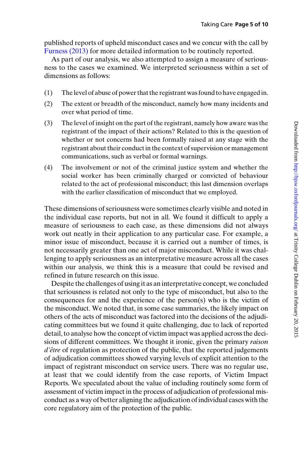published reports of upheld misconduct cases and we concur with the call by [Furness \(2013\)](#page-8-0) for more detailed information to be routinely reported.

As part of our analysis, we also attempted to assign a measure of seriousness to the cases we examined. We interpreted seriousness within a set of dimensions as follows:

- (1) The level of abuse of power that the registrant was found to have engaged in.
- (2) The extent or breadth of the misconduct, namely how many incidents and over what period of time.
- (3) The level of insight on the part of the registrant, namely how aware was the registrant of the impact of their actions? Related to this is the question of whether or not concerns had been formally raised at any stage with the registrant about their conduct in the context of supervision or management communications, such as verbal or formal warnings.
- (4) The involvement or not of the criminal justice system and whether the social worker has been criminally charged or convicted of behaviour related to the act of professional misconduct; this last dimension overlaps with the earlier classification of misconduct that we employed.

These dimensions of seriousness were sometimes clearly visible and noted in the individual case reports, but not in all. We found it difficult to apply a measure of seriousness to each case, as these dimensions did not always work out neatly in their application to any particular case. For example, a minor issue of misconduct, because it is carried out a number of times, is not necessarily greater than one act of major misconduct. While it was challenging to apply seriousness as an interpretative measure across all the cases within our analysis, we think this is a measure that could be revised and refined in future research on this issue.

Despite the challenges of using it as an interpretative concept, we concluded that seriousness is related not only to the type of misconduct, but also to the consequences for and the experience of the person(s) who is the victim of the misconduct. We noted that, in some case summaries, the likely impact on others of the acts of misconduct was factored into the decisions of the adjudicating committees but we found it quite challenging, due to lack of reported detail, to analyse how the concept of victim impact was applied across the decisions of different committees. We thought it ironic, given the primary raison  $d\hat{e}$  at regulation as protection of the public, that the reported judgements of adjudication committees showed varying levels of explicit attention to the impact of registrant misconduct on service users. There was no regular use, at least that we could identify from the case reports, of Victim Impact Reports. We speculated about the value of including routinely some form of assessment of victim impact in the process of adjudication of professional misconduct as a way of better aligning the adjudication of individual cases with the core regulatory aim of the protection of the public.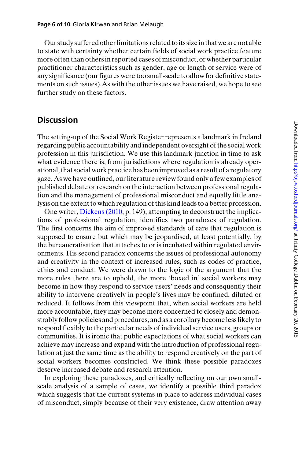Our study suffered other limitations related to its size in that we are not able to state with certainty whether certain fields of social work practice feature more often than others in reported cases of misconduct, or whether particular practitioner characteristics such as gender, age or length of service were of any significance (our figures were too small-scale to allow for definitive statements on such issues).As with the other issues we have raised, we hope to see further study on these factors.

#### **Discussion**

The setting-up of the Social Work Register represents a landmark in Ireland regarding public accountability and independent oversight of the social work profession in this jurisdiction. We use this landmark junction in time to ask what evidence there is, from jurisdictions where regulation is already operational, that social work practice has been improved as a result of a regulatory gaze. As we have outlined, our literature review found only a few examples of published debate or research on the interaction between professional regulation and the management of professional misconduct and equally little analysis on the extent to which regulation of this kind leads to a better profession.

One writer, [Dickens \(2010,](#page-8-0) p. 149), attempting to deconstruct the implications of professional regulation, identifies two paradoxes of regulation. The first concerns the aim of improved standards of care that regulation is supposed to ensure but which may be jeopardised, at least potentially, by the bureaucratisation that attaches to or is incubated within regulated environments. His second paradox concerns the issues of professional autonomy and creativity in the context of increased rules, such as codes of practice, ethics and conduct. We were drawn to the logic of the argument that the more rules there are to uphold, the more 'boxed in' social workers may become in how they respond to service users' needs and consequently their ability to intervene creatively in people's lives may be confined, diluted or reduced. It follows from this viewpoint that, when social workers are held more accountable, they may become more concerned to closely and demonstrably follow policies and procedures, and as a corollary become less likely to respond flexibly to the particular needs of individual service users, groups or communities. It is ironic that public expectations of what social workers can achieve may increase and expand with the introduction of professional regulation at just the same time as the ability to respond creatively on the part of social workers becomes constricted. We think these possible paradoxes deserve increased debate and research attention.

In exploring these paradoxes, and critically reflecting on our own smallscale analysis of a sample of cases, we identify a possible third paradox which suggests that the current systems in place to address individual cases of misconduct, simply because of their very existence, draw attention away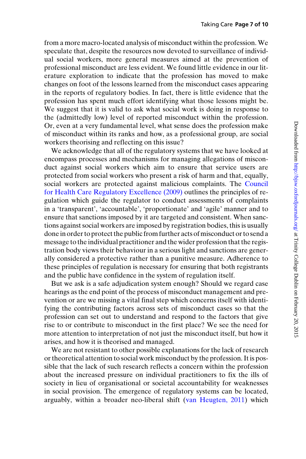from a more macro-located analysis of misconduct within the profession. We speculate that, despite the resources now devoted to surveillance of individual social workers, more general measures aimed at the prevention of professional misconduct are less evident. We found little evidence in our literature exploration to indicate that the profession has moved to make changes on foot of the lessons learned from the misconduct cases appearing in the reports of regulatory bodies. In fact, there is little evidence that the profession has spent much effort identifying what those lessons might be. We suggest that it is valid to ask what social work is doing in response to the (admittedly low) level of reported misconduct within the profession. Or, even at a very fundamental level, what sense does the profession make of misconduct within its ranks and how, as a professional group, are social workers theorising and reflecting on this issue?

We acknowledge that all of the regulatory systems that we have looked at encompass processes and mechanisms for managing allegations of misconduct against social workers which aim to ensure that service users are protected from social workers who present a risk of harm and that, equally, social workers are protected against malicious complaints. The [Council](#page-8-0) [for Health Care Regulatory Excellence \(2009\)](#page-8-0) outlines the principles of regulation which guide the regulator to conduct assessments of complaints in a 'transparent', 'accountable', 'proportionate' and 'agile' manner and to ensure that sanctions imposed by it are targeted and consistent. When sanctions against social workers are imposed by registration bodies, this is usually done in order to protect the public from further acts of misconduct or to send a message to the individual practitioner and the wider profession that the registration body views their behaviour in a serious light and sanctions are generally considered a protective rather than a punitive measure. Adherence to these principles of regulation is necessary for ensuring that both registrants and the public have confidence in the system of regulation itself.

But we ask is a safe adjudication system enough? Should we regard case hearings as the end point of the process of misconduct management and prevention or are we missing a vital final step which concerns itself with identifying the contributing factors across sets of misconduct cases so that the profession can set out to understand and respond to the factors that give rise to or contribute to misconduct in the first place? We see the need for more attention to interpretation of not just the misconduct itself, but how it arises, and how it is theorised and managed.

We are not resistant to other possible explanations for the lack of research or theoretical attention to social work misconduct by the profession. It is possible that the lack of such research reflects a concern within the profession about the increased pressure on individual practitioners to fix the ills of society in lieu of organisational or societal accountability for weaknesses in social provision. The emergence of regulatory systems can be located, arguably, within a broader neo-liberal shift ([van Heugten, 2011\)](#page-9-0) which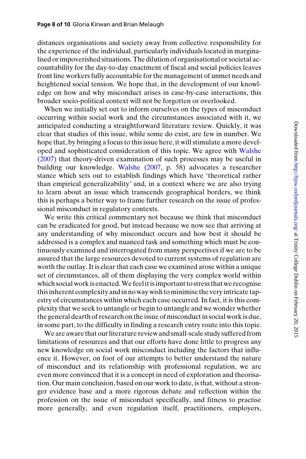distances organisations and society away from collective responsibility for the experience of the individual, particularly individuals located in marginalised or impoverished situations. The dilution of organisational or societal accountability for the day-to-day enactment of fiscal and social policies leaves front line workers fully accountable for the management of unmet needs and heightened social tension. We hope that, in the development of our knowledge on how and why misconduct arises in case-by-case interactions, this broader socio-political context will not be forgotten or overlooked.

When we initially set out to inform ourselves on the types of misconduct occurring within social work and the circumstances associated with it, we anticipated conducting a straightforward literature review. Quickly, it was clear that studies of this issue, while some do exist, are few in number. We hope that, by bringing a focus to this issue here, it will stimulate a more developed and sophisticated consideration of this topic. We agree with [Walshe](#page-9-0) [\(2007\)](#page-9-0) that theory-driven examination of such processes may be useful in building our knowledge. [Walshe \(2007](#page-9-0), p. 58) advocates a researcher stance which sets out to establish findings which have 'theoretical rather than empirical generalizability' and, in a context where we are also trying to learn about an issue which transcends geographical borders, we think this is perhaps a better way to frame further research on the issue of professional misconduct in regulatory contexts.

We write this critical commentary not because we think that misconduct can be eradicated for good, but instead because we now see that arriving at any understanding of why misconduct occurs and how best it should be addressed is a complex and nuanced task and something which must be continuously examined and interrogated from many perspectives if we are to be assured that the large resources devoted to current systems of regulation are worth the outlay. It is clear that each case we examined arose within a unique set of circumstances, all of them displaying the very complex world within which social work is enacted. We feel it is important to stress that we recognise thisinherent complexity andin no way wish tominimise the veryintricate tapestry of circumstances within which each case occurred. In fact, it is this complexity that we seek to untangle or begin to untangle and we wonder whether the general dearth of research on theissue of misconduct in social work is due, in some part, to the difficulty in finding a research entry route into this topic.

We are aware that our literature review and small-scale study suffered from limitations of resources and that our efforts have done little to progress any new knowledge on social work misconduct including the factors that influence it. However, on foot of our attempts to better understand the nature of misconduct and its relationship with professional regulation, we are even more convinced that it is a concept in need of exploration and theorisation. Our main conclusion, based on our work to date, is that, without a stronger evidence base and a more rigorous debate and reflection within the profession on the issue of misconduct specifically, and fitness to practise more generally, and even regulation itself, practitioners, employers,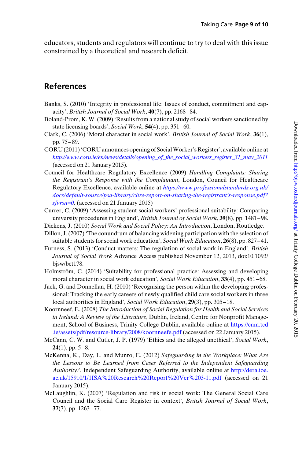<span id="page-8-0"></span>educators, students and regulators will continue to try to deal with this issue constrained by a theoretical and research deficit.

# References

- Banks, S. (2010) 'Integrity in professional life: Issues of conduct, commitment and capacity', British Journal of Social Work, 40(7), pp. 2168 – 84.
- Boland-Prom, K. W. (2009) 'Results from a national study of social workers sanctioned by state licensing boards', Social Work, 54(4), pp. 351-60.
- Clark, C. (2006) 'Moral character in social work', British Journal of Social Work, 36(1), pp. 75 – 89.
- CORU (2011)'CORU announces opening of SocialWorker's Register', available online at [http://www.coru.ie/en/news/details/opening\\_of\\_the\\_social\\_workers\\_register\\_31\\_may\\_2011](http://www.coru.ie/en/news/details/opening_of_the_social_workers_register_31_may_2011) (accessed on 21 January 2015).
- Council for Healthcare Regulatory Excellence (2009) Handling Complaints: Sharing the Registrant's Response with the Complainant, London, Council for Healthcare Regulatory Excellence, available online at [https://www.professionalstandards.org.uk/](https://www.professionalstandards.org.uk/docs/default-source/psa-library/chre-report-on-sharing-the-registrant's-response.pdf?sfvrsn=0) [docs/default-source/psa-library/chre-report-on-sharing-the-registrant's-response.pdf?](https://www.professionalstandards.org.uk/docs/default-source/psa-library/chre-report-on-sharing-the-registrant's-response.pdf?sfvrsn=0)  $sfvrsn=0$ . (accessed on 21 January 2015)
- Currer, C. (2009) 'Assessing student social workers' professional suitability: Comparing university procedures in England', British Journal of Social Work, 39(8), pp. 1481–98.
- Dickens, J. (2010) Social Work and Social Policy: An Introduction, London, Routledge.
- Dillon, J. (2007) 'The conundrum of balancing widening participation with the selection of suitable students for social work education', Social Work Education, 26(8), pp. 827–41.
- Furness, S. (2013) 'Conduct matters: The regulation of social work in England', British Journal of Social Work Advance Access published November 12, 2013, doi:10.1093/ bjsw/bct178.
- Holmström, C. (2014) 'Suitability for professional practice: Assessing and developing moral character in social work education', Social Work Education, 33(4), pp. 451–68.
- Jack, G. and Donnellan, H. (2010) 'Recognising the person within the developing professional: Tracking the early careers of newly qualified child care social workers in three local authorities in England', Social Work Education, 29(3), pp. 305–18.
- Koornneef, E. (2008) The Introduction of Social Regulation for Health and Social Services in Ireland: A Review of the Literature, Dublin, Ireland, Centre for Nonprofit Management, School of Business, Trinity College Dublin, available online at [https://cnm.tcd](https://cnm.tcd.ie/assets/pdf/resource-library/2008/koornneefe.pdf) [.ie/assets/pdf/resource-library/2008/koornneefe.pdf](https://cnm.tcd.ie/assets/pdf/resource-library/2008/koornneefe.pdf) (accessed on 22 January 2015).
- McCann, C. W. and Cutler, J. P. (1979) 'Ethics and the alleged unethical', Social Work,  $24(1)$ , pp. 5-8.
- McKenna, K., Day, L. and Munro, E. (2012) Safeguarding in the Workplace: What Are the Lessons to Be Learned from Cases Referred to the Independent Safeguarding Authority?, Independent Safeguarding Authority, available online at [http://dera.ioe.](http://dera.ioe.ac.uk/15910/1/1ISA%20Research%20Report%20Ver%203-11.pdf) [ac.uk/15910/1/1ISA%20Research%20Report%20Ver%203-11.pdf](http://dera.ioe.ac.uk/15910/1/1ISA%20Research%20Report%20Ver%203-11.pdf) (accessed on 21 January 2015).
- McLaughlin, K. (2007) 'Regulation and risk in social work: The General Social Care Council and the Social Care Register in context', British Journal of Social Work,  $37(7)$ , pp.  $1263 - 77$ .